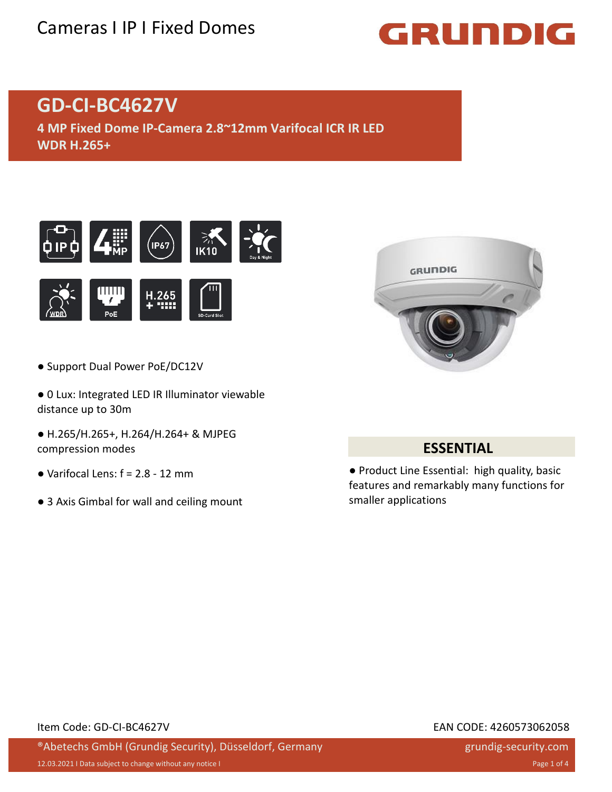## Cameras I IP I Fixed Domes

# GRUNDIG

## **GD-CI-BC4627V**

**4 MP Fixed Dome IP-Camera 2.8~12mm Varifocal ICR IR LED WDR H.265+**





- Support Dual Power PoE/DC12V
- 0 Lux: Integrated LED IR Illuminator viewable distance up to 30m
- H.265/H.265+, H.264/H.264+ & MJPEG compression modes
- $\bullet$  Varifocal Lens:  $f = 2.8 12$  mm
- 3 Axis Gimbal for wall and ceiling mount



#### **ESSENTIAL**

● Product Line Essential: high quality, basic features and remarkably many functions for smaller applications

#### Item Code: GD-CI-BC4627V EAN CODE: 4260573062058

®Abetechs GmbH (Grundig Security), Düsseldorf, Germany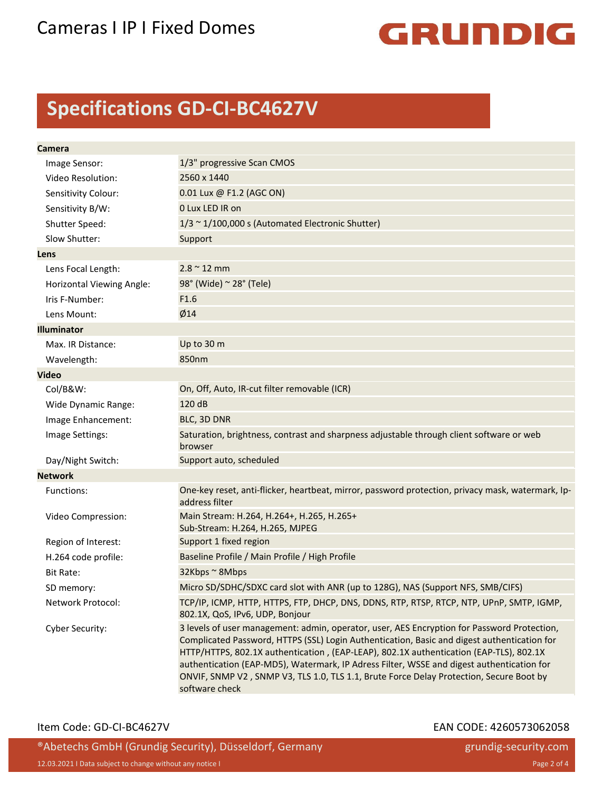

## **Specifications GD-CI-BC4627V**

| Camera                    |                                                                                                                                                                                                                                                                                                                                                                                                                                                                                                |
|---------------------------|------------------------------------------------------------------------------------------------------------------------------------------------------------------------------------------------------------------------------------------------------------------------------------------------------------------------------------------------------------------------------------------------------------------------------------------------------------------------------------------------|
| Image Sensor:             | 1/3" progressive Scan CMOS                                                                                                                                                                                                                                                                                                                                                                                                                                                                     |
| Video Resolution:         | 2560 x 1440                                                                                                                                                                                                                                                                                                                                                                                                                                                                                    |
| Sensitivity Colour:       | 0.01 Lux @ F1.2 (AGC ON)                                                                                                                                                                                                                                                                                                                                                                                                                                                                       |
| Sensitivity B/W:          | 0 Lux LED IR on                                                                                                                                                                                                                                                                                                                                                                                                                                                                                |
| Shutter Speed:            | $1/3 \sim 1/100,000$ s (Automated Electronic Shutter)                                                                                                                                                                                                                                                                                                                                                                                                                                          |
| Slow Shutter:             | Support                                                                                                                                                                                                                                                                                                                                                                                                                                                                                        |
| Lens                      |                                                                                                                                                                                                                                                                                                                                                                                                                                                                                                |
| Lens Focal Length:        | $2.8 \sim 12$ mm                                                                                                                                                                                                                                                                                                                                                                                                                                                                               |
| Horizontal Viewing Angle: | 98° (Wide) ~ 28° (Tele)                                                                                                                                                                                                                                                                                                                                                                                                                                                                        |
| Iris F-Number:            | F1.6                                                                                                                                                                                                                                                                                                                                                                                                                                                                                           |
| Lens Mount:               | Ø14                                                                                                                                                                                                                                                                                                                                                                                                                                                                                            |
| <b>Illuminator</b>        |                                                                                                                                                                                                                                                                                                                                                                                                                                                                                                |
| Max. IR Distance:         | Up to 30 m                                                                                                                                                                                                                                                                                                                                                                                                                                                                                     |
| Wavelength:               | 850nm                                                                                                                                                                                                                                                                                                                                                                                                                                                                                          |
| <b>Video</b>              |                                                                                                                                                                                                                                                                                                                                                                                                                                                                                                |
| Col/B&W:                  | On, Off, Auto, IR-cut filter removable (ICR)                                                                                                                                                                                                                                                                                                                                                                                                                                                   |
| Wide Dynamic Range:       | 120 dB                                                                                                                                                                                                                                                                                                                                                                                                                                                                                         |
| Image Enhancement:        | BLC, 3D DNR                                                                                                                                                                                                                                                                                                                                                                                                                                                                                    |
| Image Settings:           | Saturation, brightness, contrast and sharpness adjustable through client software or web<br>browser                                                                                                                                                                                                                                                                                                                                                                                            |
| Day/Night Switch:         | Support auto, scheduled                                                                                                                                                                                                                                                                                                                                                                                                                                                                        |
| <b>Network</b>            |                                                                                                                                                                                                                                                                                                                                                                                                                                                                                                |
| Functions:                | One-key reset, anti-flicker, heartbeat, mirror, password protection, privacy mask, watermark, Ip-<br>address filter                                                                                                                                                                                                                                                                                                                                                                            |
| Video Compression:        | Main Stream: H.264, H.264+, H.265, H.265+<br>Sub-Stream: H.264, H.265, MJPEG                                                                                                                                                                                                                                                                                                                                                                                                                   |
| Region of Interest:       | Support 1 fixed region                                                                                                                                                                                                                                                                                                                                                                                                                                                                         |
| H.264 code profile:       | Baseline Profile / Main Profile / High Profile                                                                                                                                                                                                                                                                                                                                                                                                                                                 |
| <b>Bit Rate:</b>          | 32Kbps ~ 8Mbps                                                                                                                                                                                                                                                                                                                                                                                                                                                                                 |
| SD memory:                | Micro SD/SDHC/SDXC card slot with ANR (up to 128G), NAS (Support NFS, SMB/CIFS)                                                                                                                                                                                                                                                                                                                                                                                                                |
| Network Protocol:         | TCP/IP, ICMP, HTTP, HTTPS, FTP, DHCP, DNS, DDNS, RTP, RTSP, RTCP, NTP, UPnP, SMTP, IGMP,<br>802.1X, QoS, IPv6, UDP, Bonjour                                                                                                                                                                                                                                                                                                                                                                    |
| Cyber Security:           | 3 levels of user management: admin, operator, user, AES Encryption for Password Protection,<br>Complicated Password, HTTPS (SSL) Login Authentication, Basic and digest authentication for<br>HTTP/HTTPS, 802.1X authentication, (EAP-LEAP), 802.1X authentication (EAP-TLS), 802.1X<br>authentication (EAP-MD5), Watermark, IP Adress Filter, WSSE and digest authentication for<br>ONVIF, SNMP V2, SNMP V3, TLS 1.0, TLS 1.1, Brute Force Delay Protection, Secure Boot by<br>software check |

#### Item Code: GD-CI-BC4627V EAN CODE: 4260573062058

®Abetechs GmbH (Grundig Security), Düsseldorf, Germany 12.03.2021 I Data subject to change without any notice I Page 2 of 4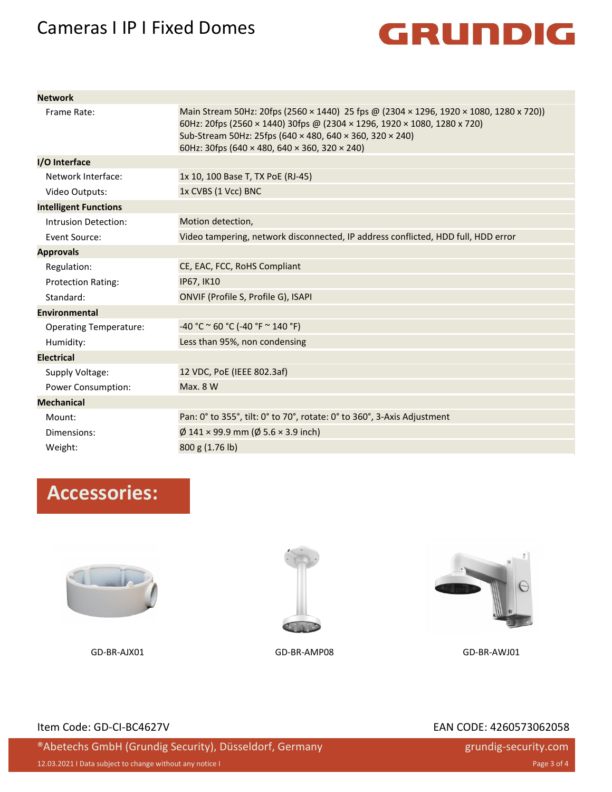### Cameras I IP I Fixed Domes



| <b>Network</b>                |                                                                                                                                                                                                                                                                                                      |
|-------------------------------|------------------------------------------------------------------------------------------------------------------------------------------------------------------------------------------------------------------------------------------------------------------------------------------------------|
| Frame Rate:                   | Main Stream 50Hz: 20fps (2560 × 1440) 25 fps @ (2304 × 1296, 1920 × 1080, 1280 x 720))<br>60Hz: 20fps (2560 × 1440) 30fps @ (2304 × 1296, 1920 × 1080, 1280 x 720)<br>Sub-Stream 50Hz: 25fps (640 × 480, 640 × 360, 320 × 240)<br>60Hz: 30fps (640 $\times$ 480, 640 $\times$ 360, 320 $\times$ 240) |
| I/O Interface                 |                                                                                                                                                                                                                                                                                                      |
| Network Interface:            | 1x 10, 100 Base T, TX PoE (RJ-45)                                                                                                                                                                                                                                                                    |
| Video Outputs:                | 1x CVBS (1 Vcc) BNC                                                                                                                                                                                                                                                                                  |
| <b>Intelligent Functions</b>  |                                                                                                                                                                                                                                                                                                      |
| Intrusion Detection:          | Motion detection,                                                                                                                                                                                                                                                                                    |
| Event Source:                 | Video tampering, network disconnected, IP address conflicted, HDD full, HDD error                                                                                                                                                                                                                    |
| <b>Approvals</b>              |                                                                                                                                                                                                                                                                                                      |
| Regulation:                   | CE, EAC, FCC, RoHS Compliant                                                                                                                                                                                                                                                                         |
| <b>Protection Rating:</b>     | <b>IP67, IK10</b>                                                                                                                                                                                                                                                                                    |
| Standard:                     | ONVIF (Profile S, Profile G), ISAPI                                                                                                                                                                                                                                                                  |
| <b>Environmental</b>          |                                                                                                                                                                                                                                                                                                      |
| <b>Operating Temperature:</b> | $-40 °C \approx 60 °C (-40 °F \approx 140 °F)$                                                                                                                                                                                                                                                       |
| Humidity:                     | Less than 95%, non condensing                                                                                                                                                                                                                                                                        |
| <b>Electrical</b>             |                                                                                                                                                                                                                                                                                                      |
| Supply Voltage:               | 12 VDC, PoE (IEEE 802.3af)                                                                                                                                                                                                                                                                           |
| Power Consumption:            | <b>Max. 8 W</b>                                                                                                                                                                                                                                                                                      |
| <b>Mechanical</b>             |                                                                                                                                                                                                                                                                                                      |
| Mount:                        | Pan: 0° to 355°, tilt: 0° to 70°, rotate: 0° to 360°, 3-Axis Adjustment                                                                                                                                                                                                                              |
| Dimensions:                   | $\emptyset$ 141 × 99.9 mm ( $\emptyset$ 5.6 × 3.9 inch)                                                                                                                                                                                                                                              |
| Weight:                       | 800 g (1.76 lb)                                                                                                                                                                                                                                                                                      |

## **Accessories:**









#### Item Code: GD-CI-BC4627V EAN CODE: 4260573062058

®Abetechs GmbH (Grundig Security), Düsseldorf, Germany

12.03.2021 I Data subject to change without any notice I Page 3 of 4

grundig-security.com